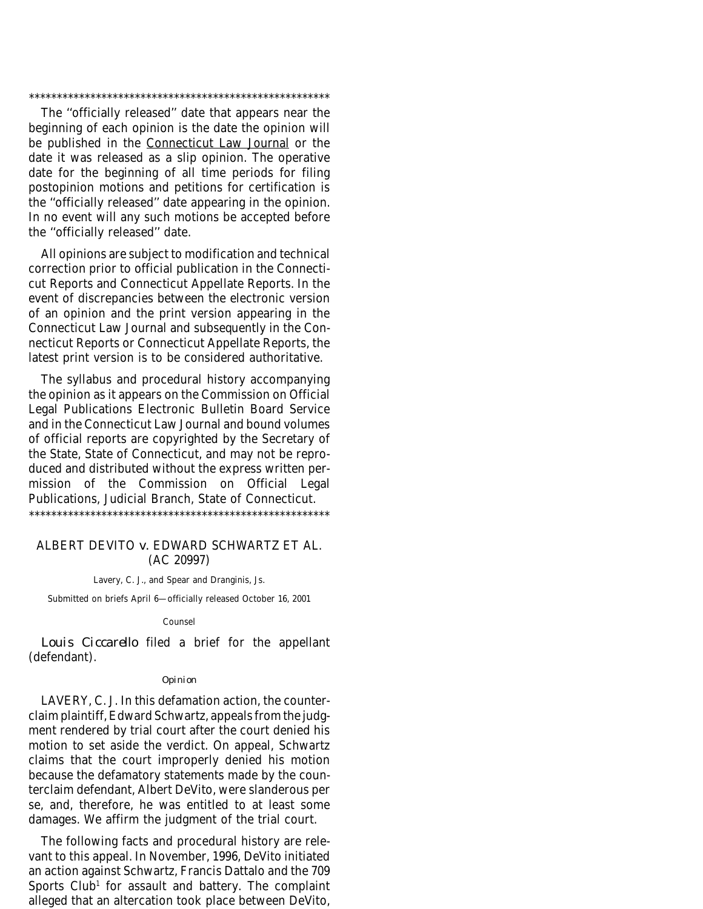#### \*\*\*\*\*\*\*\*\*\*\*\*\*\*\*\*\*\*\*\*\*\*\*\*\*\*\*\*\*\*\*\*\*\*\*\*\*\*\*\*\*\*\*\*\*\*\*\*\*\*\*\*\*\*

The ''officially released'' date that appears near the beginning of each opinion is the date the opinion will be published in the Connecticut Law Journal or the date it was released as a slip opinion. The operative date for the beginning of all time periods for filing postopinion motions and petitions for certification is the ''officially released'' date appearing in the opinion. In no event will any such motions be accepted before the ''officially released'' date.

All opinions are subject to modification and technical correction prior to official publication in the Connecticut Reports and Connecticut Appellate Reports. In the event of discrepancies between the electronic version of an opinion and the print version appearing in the Connecticut Law Journal and subsequently in the Connecticut Reports or Connecticut Appellate Reports, the latest print version is to be considered authoritative.

The syllabus and procedural history accompanying the opinion as it appears on the Commission on Official Legal Publications Electronic Bulletin Board Service and in the Connecticut Law Journal and bound volumes of official reports are copyrighted by the Secretary of the State, State of Connecticut, and may not be reproduced and distributed without the express written permission of the Commission on Official Legal Publications, Judicial Branch, State of Connecticut. \*\*\*\*\*\*\*\*\*\*\*\*\*\*\*\*\*\*\*\*\*\*\*\*\*\*\*\*\*\*\*\*\*\*\*\*\*\*\*\*\*\*\*\*\*\*\*\*\*\*\*\*\*\*

## ALBERT DEVITO *v.* EDWARD SCHWARTZ ET AL. (AC 20997)

### Lavery, C. J., and Spear and Dranginis, Js.

Submitted on briefs April 6—officially released October 16, 2001

### Counsel

*Louis Ciccarello* filed a brief for the appellant (defendant).

### *Opinion*

LAVERY, C. J. In this defamation action, the counterclaim plaintiff, Edward Schwartz, appeals from the judgment rendered by trial court after the court denied his motion to set aside the verdict. On appeal, Schwartz claims that the court improperly denied his motion because the defamatory statements made by the counterclaim defendant, Albert DeVito, were slanderous per se, and, therefore, he was entitled to at least some damages. We affirm the judgment of the trial court.

The following facts and procedural history are relevant to this appeal. In November, 1996, DeVito initiated an action against Schwartz, Francis Dattalo and the 709 Sports  $Club<sup>1</sup>$  for assault and battery. The complaint alleged that an altercation took place between DeVito,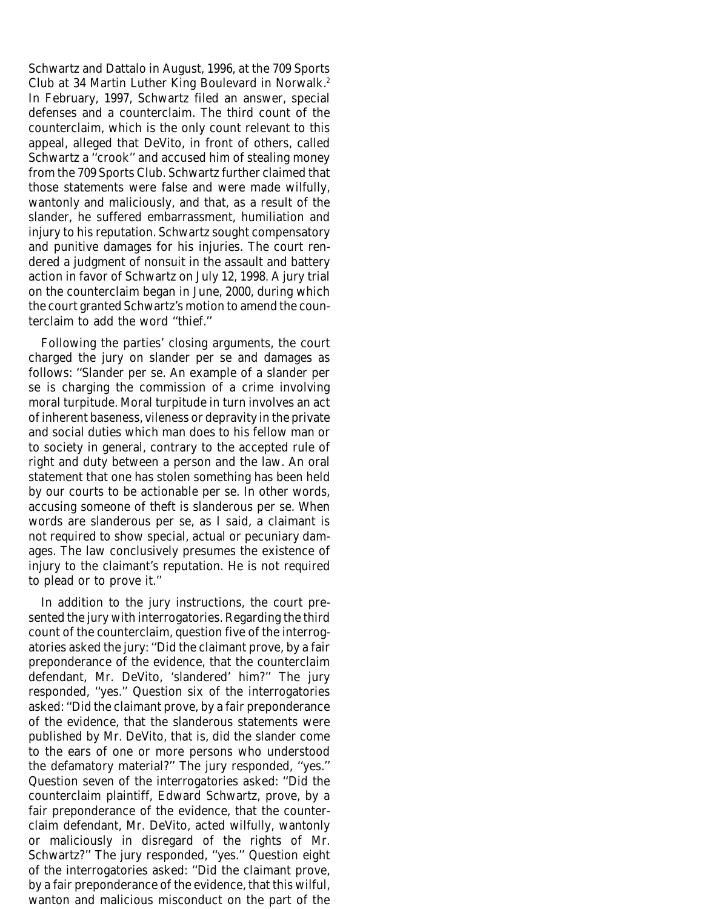Schwartz and Dattalo in August, 1996, at the 709 Sports Club at 34 Martin Luther King Boulevard in Norwalk.<sup>2</sup> In February, 1997, Schwartz filed an answer, special defenses and a counterclaim. The third count of the counterclaim, which is the only count relevant to this appeal, alleged that DeVito, in front of others, called Schwartz a ''crook'' and accused him of stealing money from the 709 Sports Club. Schwartz further claimed that those statements were false and were made wilfully, wantonly and maliciously, and that, as a result of the slander, he suffered embarrassment, humiliation and injury to his reputation. Schwartz sought compensatory and punitive damages for his injuries. The court rendered a judgment of nonsuit in the assault and battery action in favor of Schwartz on July 12, 1998. A jury trial on the counterclaim began in June, 2000, during which the court granted Schwartz's motion to amend the counterclaim to add the word ''thief.''

Following the parties' closing arguments, the court charged the jury on slander per se and damages as follows: ''Slander per se. An example of a slander per se is charging the commission of a crime involving moral turpitude. Moral turpitude in turn involves an act of inherent baseness, vileness or depravity in the private and social duties which man does to his fellow man or to society in general, contrary to the accepted rule of right and duty between a person and the law. An oral statement that one has stolen something has been held by our courts to be actionable per se. In other words, accusing someone of theft is slanderous per se. When words are slanderous per se, as I said, a claimant is not required to show special, actual or pecuniary damages. The law conclusively presumes the existence of injury to the claimant's reputation. He is not required to plead or to prove it.''

In addition to the jury instructions, the court presented the jury with interrogatories. Regarding the third count of the counterclaim, question five of the interrogatories asked the jury: ''Did the claimant prove, by a fair preponderance of the evidence, that the counterclaim defendant, Mr. DeVito, 'slandered' him?'' The jury responded, ''yes.'' Question six of the interrogatories asked: ''Did the claimant prove, by a fair preponderance of the evidence, that the slanderous statements were published by Mr. DeVito, that is, did the slander come to the ears of one or more persons who understood the defamatory material?'' The jury responded, ''yes.'' Question seven of the interrogatories asked: ''Did the counterclaim plaintiff, Edward Schwartz, prove, by a fair preponderance of the evidence, that the counterclaim defendant, Mr. DeVito, acted wilfully, wantonly or maliciously in disregard of the rights of Mr. Schwartz?'' The jury responded, ''yes.'' Question eight of the interrogatories asked: ''Did the claimant prove, by a fair preponderance of the evidence, that this wilful, wanton and malicious misconduct on the part of the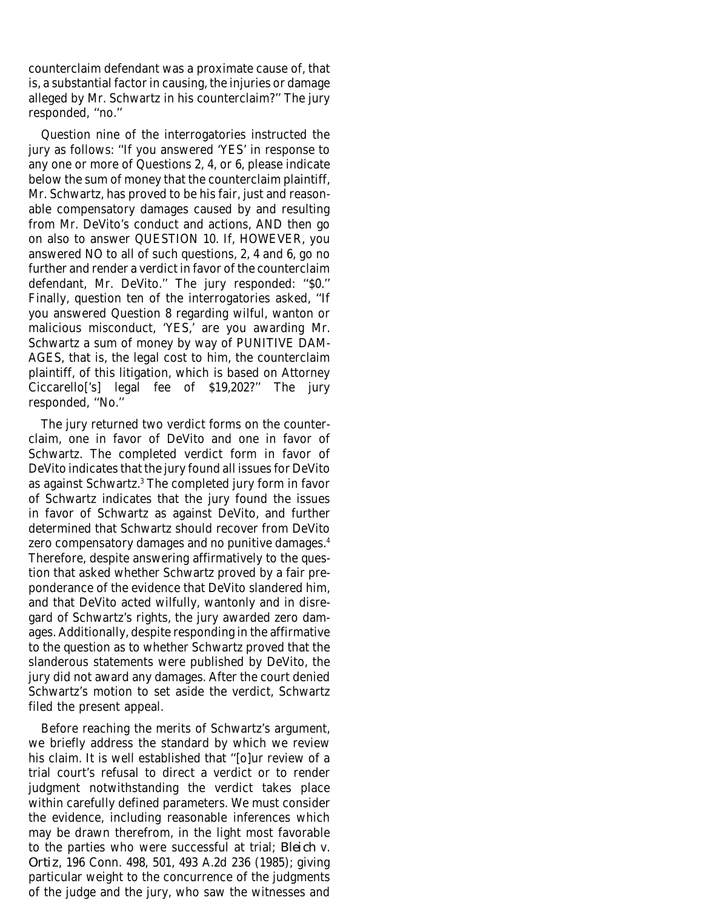counterclaim defendant was a proximate cause of, that is, a substantial factor in causing, the injuries or damage alleged by Mr. Schwartz in his counterclaim?'' The jury responded, ''no.''

Question nine of the interrogatories instructed the jury as follows: ''If you answered 'YES' in response to any one or more of Questions 2, 4, or 6, please indicate below the sum of money that the counterclaim plaintiff, Mr. Schwartz, has proved to be his fair, just and reasonable compensatory damages caused by and resulting from Mr. DeVito's conduct and actions, AND then go on also to answer QUESTION 10. If, HOWEVER, you answered NO to all of such questions, 2, 4 and 6, go no further and render a verdict in favor of the counterclaim defendant, Mr. DeVito." The jury responded: "\$0." Finally, question ten of the interrogatories asked, ''If you answered Question 8 regarding wilful, wanton or malicious misconduct, 'YES,' are you awarding Mr. Schwartz a sum of money by way of PUNITIVE DAM-AGES, that is, the legal cost to him, the counterclaim plaintiff, of this litigation, which is based on Attorney Ciccarello['s] legal fee of \$19,202?'' The jury responded, ''No.''

The jury returned two verdict forms on the counterclaim, one in favor of DeVito and one in favor of Schwartz. The completed verdict form in favor of DeVito indicates that the jury found all issues for DeVito as against Schwartz.3 The completed jury form in favor of Schwartz indicates that the jury found the issues in favor of Schwartz as against DeVito, and further determined that Schwartz should recover from DeVito zero compensatory damages and no punitive damages.4 Therefore, despite answering affirmatively to the question that asked whether Schwartz proved by a fair preponderance of the evidence that DeVito slandered him, and that DeVito acted wilfully, wantonly and in disregard of Schwartz's rights, the jury awarded zero damages. Additionally, despite responding in the affirmative to the question as to whether Schwartz proved that the slanderous statements were published by DeVito, the jury did not award any damages. After the court denied Schwartz's motion to set aside the verdict, Schwartz filed the present appeal.

Before reaching the merits of Schwartz's argument, we briefly address the standard by which we review his claim. It is well established that ''[o]ur review of a trial court's refusal to direct a verdict or to render judgment notwithstanding the verdict takes place within carefully defined parameters. We must consider the evidence, including reasonable inferences which may be drawn therefrom, in the light most favorable to the parties who were successful at trial; *Bleich* v. *Ortiz*, 196 Conn. 498, 501, 493 A.2d 236 (1985); giving particular weight to the concurrence of the judgments of the judge and the jury, who saw the witnesses and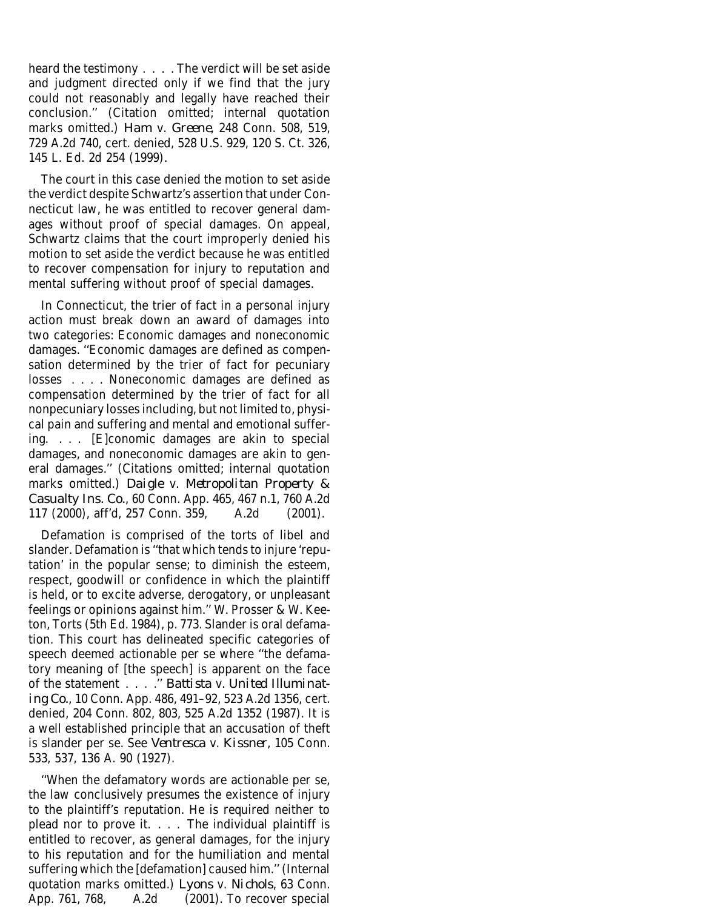heard the testimony . . . . The verdict will be set aside and judgment directed only if we find that the jury could not reasonably and legally have reached their conclusion.'' (Citation omitted; internal quotation marks omitted.) *Ham* v. *Greene*, 248 Conn. 508, 519, 729 A.2d 740, cert. denied, 528 U.S. 929, 120 S. Ct. 326, 145 L. Ed. 2d 254 (1999).

The court in this case denied the motion to set aside the verdict despite Schwartz's assertion that under Connecticut law, he was entitled to recover general damages without proof of special damages. On appeal, Schwartz claims that the court improperly denied his motion to set aside the verdict because he was entitled to recover compensation for injury to reputation and mental suffering without proof of special damages.

In Connecticut, the trier of fact in a personal injury action must break down an award of damages into two categories: Economic damages and noneconomic damages. ''Economic damages are defined as compensation determined by the trier of fact for pecuniary losses .... Noneconomic damages are defined as compensation determined by the trier of fact for all nonpecuniary losses including, but not limited to, physical pain and suffering and mental and emotional suffering. . . . [E]conomic damages are akin to special damages, and noneconomic damages are akin to general damages.'' (Citations omitted; internal quotation marks omitted.) *Daigle* v. *Metropolitan Property & Casualty Ins. Co.*, 60 Conn. App. 465, 467 n.1, 760 A.2d 117 (2000), aff'd, 257 Conn. 359, A.2d (2001).

Defamation is comprised of the torts of libel and slander. Defamation is ''that which tends to injure 'reputation' in the popular sense; to diminish the esteem, respect, goodwill or confidence in which the plaintiff is held, or to excite adverse, derogatory, or unpleasant feelings or opinions against him.'' W. Prosser & W. Keeton, Torts (5th Ed. 1984), p. 773. Slander is oral defamation. This court has delineated specific categories of speech deemed actionable per se where ''the defamatory meaning of [the speech] is apparent on the face of the statement . . . .'' *Battista* v. *United Illuminating Co.*, 10 Conn. App. 486, 491–92, 523 A.2d 1356, cert. denied, 204 Conn. 802, 803, 525 A.2d 1352 (1987). It is a well established principle that an accusation of theft is slander per se. See *Ventresca* v. *Kissner*, 105 Conn. 533, 537, 136 A. 90 (1927).

''When the defamatory words are actionable per se, the law conclusively presumes the existence of injury to the plaintiff's reputation. He is required neither to plead nor to prove it. . . . The individual plaintiff is entitled to recover, as general damages, for the injury to his reputation and for the humiliation and mental suffering which the [defamation] caused him.'' (Internal quotation marks omitted.) *Lyons* v. *Nichols*, 63 Conn. App. 761, 768, A.2d (2001). To recover special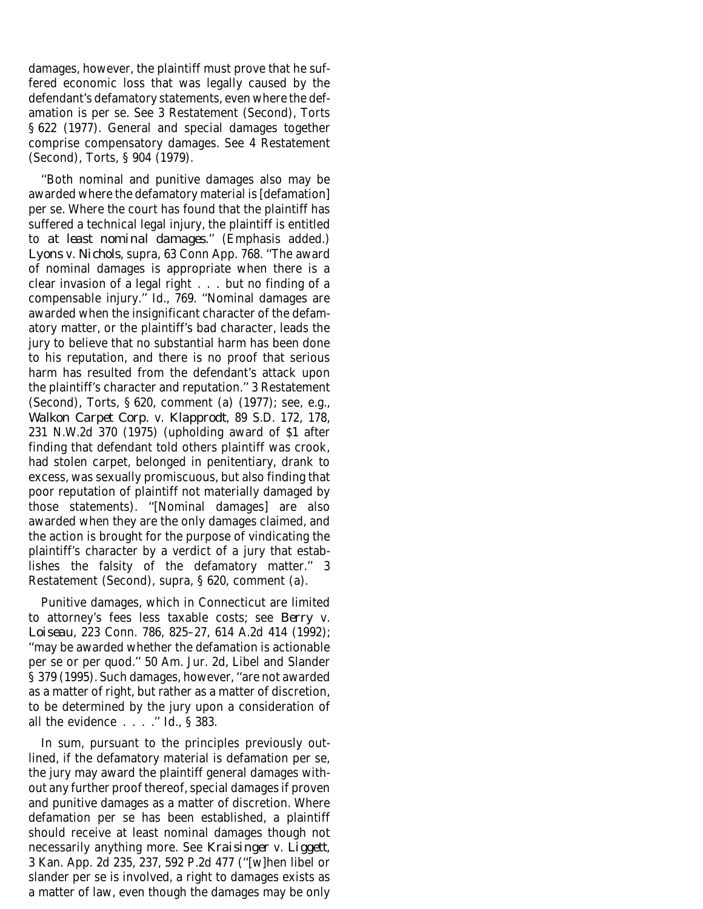damages, however, the plaintiff must prove that he suffered economic loss that was legally caused by the defendant's defamatory statements, even where the defamation is per se. See 3 Restatement (Second), Torts § 622 (1977). General and special damages together comprise compensatory damages. See 4 Restatement (Second), Torts, § 904 (1979).

''Both nominal and punitive damages also may be awarded where the defamatory material is [defamation] per se. Where the court has found that the plaintiff has suffered a technical legal injury, the plaintiff is entitled to *at least nominal damages*.'' (Emphasis added.) *Lyons* v. *Nichols*, supra, 63 Conn App. 768. ''The award of nominal damages is appropriate when there is a clear invasion of a legal right . . . but no finding of a compensable injury.'' Id., 769. ''Nominal damages are awarded when the insignificant character of the defamatory matter, or the plaintiff's bad character, leads the jury to believe that no substantial harm has been done to his reputation, and there is no proof that serious harm has resulted from the defendant's attack upon the plaintiff's character and reputation.'' 3 Restatement (Second), Torts, § 620, comment (a) (1977); see, e.g., *Walkon Carpet Corp.* v. *Klapprodt*, 89 S.D. 172, 178, 231 N.W.2d 370 (1975) (upholding award of \$1 after finding that defendant told others plaintiff was crook, had stolen carpet, belonged in penitentiary, drank to excess, was sexually promiscuous, but also finding that poor reputation of plaintiff not materially damaged by those statements). ''[Nominal damages] are also awarded when they are the only damages claimed, and the action is brought for the purpose of vindicating the plaintiff's character by a verdict of a jury that establishes the falsity of the defamatory matter.'' 3 Restatement (Second), supra, § 620, comment (a).

Punitive damages, which in Connecticut are limited to attorney's fees less taxable costs; see *Berry* v. *Loiseau*, 223 Conn. 786, 825–27, 614 A.2d 414 (1992); ''may be awarded whether the defamation is actionable per se or per quod.'' 50 Am. Jur. 2d, Libel and Slander § 379 (1995). Such damages, however, ''are not awarded as a matter of right, but rather as a matter of discretion, to be determined by the jury upon a consideration of all the evidence . . . .'' Id., § 383.

In sum, pursuant to the principles previously outlined, if the defamatory material is defamation per se, the jury may award the plaintiff general damages without any further proof thereof, special damages if proven and punitive damages as a matter of discretion. Where defamation per se has been established, a plaintiff should receive at least nominal damages though not necessarily anything more. See *Kraisinger* v. *Liggett*, 3 Kan. App. 2d 235, 237, 592 P.2d 477 (''[w]hen libel or slander per se is involved, a right to damages exists as a matter of law, even though the damages may be only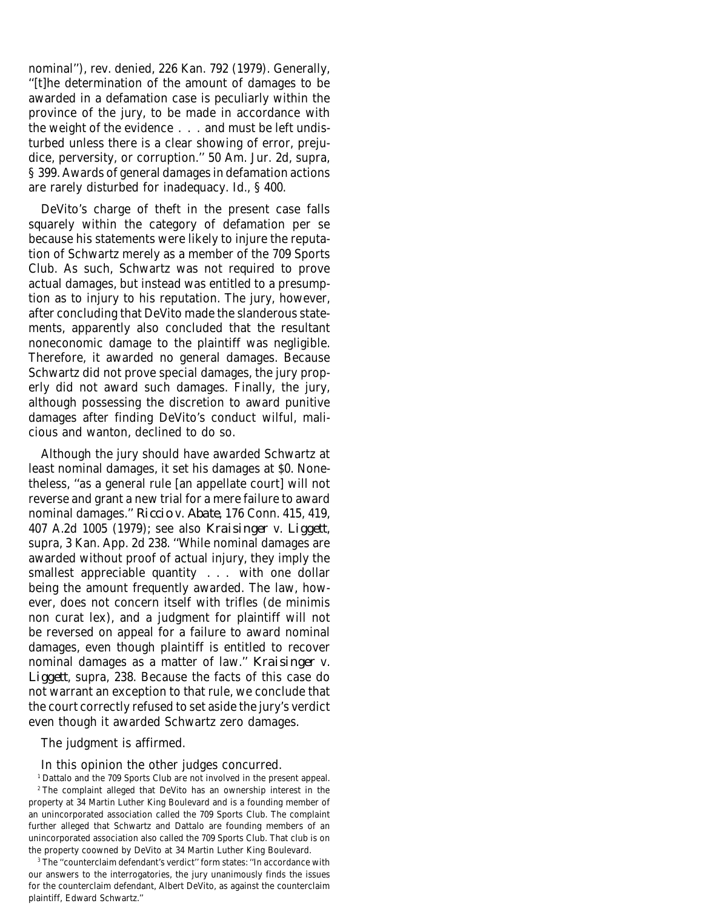nominal''), rev. denied, 226 Kan. 792 (1979). Generally, ''[t]he determination of the amount of damages to be awarded in a defamation case is peculiarly within the province of the jury, to be made in accordance with the weight of the evidence . . . and must be left undisturbed unless there is a clear showing of error, prejudice, perversity, or corruption.'' 50 Am. Jur. 2d, supra, § 399. Awards of general damages in defamation actions are rarely disturbed for inadequacy. Id., § 400.

DeVito's charge of theft in the present case falls squarely within the category of defamation per se because his statements were likely to injure the reputation of Schwartz merely as a member of the 709 Sports Club. As such, Schwartz was not required to prove actual damages, but instead was entitled to a presumption as to injury to his reputation. The jury, however, after concluding that DeVito made the slanderous statements, apparently also concluded that the resultant noneconomic damage to the plaintiff was negligible. Therefore, it awarded no general damages. Because Schwartz did not prove special damages, the jury properly did not award such damages. Finally, the jury, although possessing the discretion to award punitive damages after finding DeVito's conduct wilful, malicious and wanton, declined to do so.

Although the jury should have awarded Schwartz at least nominal damages, it set his damages at \$0. Nonetheless, ''as a general rule [an appellate court] will not reverse and grant a new trial for a mere failure to award nominal damages.'' *Riccio* v. *Abate*, 176 Conn. 415, 419, 407 A.2d 1005 (1979); see also *Kraisinger* v. *Liggett*, supra, 3 Kan. App. 2d 238. ''While nominal damages are awarded without proof of actual injury, they imply the smallest appreciable quantity . . . with one dollar being the amount frequently awarded. The law, however, does not concern itself with trifles (de minimis non curat lex), and a judgment for plaintiff will not be reversed on appeal for a failure to award nominal damages, even though plaintiff is entitled to recover nominal damages as a matter of law.'' *Kraisinger* v. *Liggett*, supra, 238. Because the facts of this case do not warrant an exception to that rule, we conclude that the court correctly refused to set aside the jury's verdict even though it awarded Schwartz zero damages.

The judgment is affirmed.

# In this opinion the other judges concurred.

<sup>1</sup> Dattalo and the 709 Sports Club are not involved in the present appeal. <sup>2</sup> The complaint alleged that DeVito has an ownership interest in the property at 34 Martin Luther King Boulevard and is a founding member of an unincorporated association called the 709 Sports Club. The complaint further alleged that Schwartz and Dattalo are founding members of an unincorporated association also called the 709 Sports Club. That club is on the property coowned by DeVito at 34 Martin Luther King Boulevard.

<sup>3</sup> The ''counterclaim defendant's verdict'' form states: ''In accordance with our answers to the interrogatories, the jury unanimously finds the issues for the counterclaim defendant, Albert DeVito, as against the counterclaim plaintiff, Edward Schwartz.''